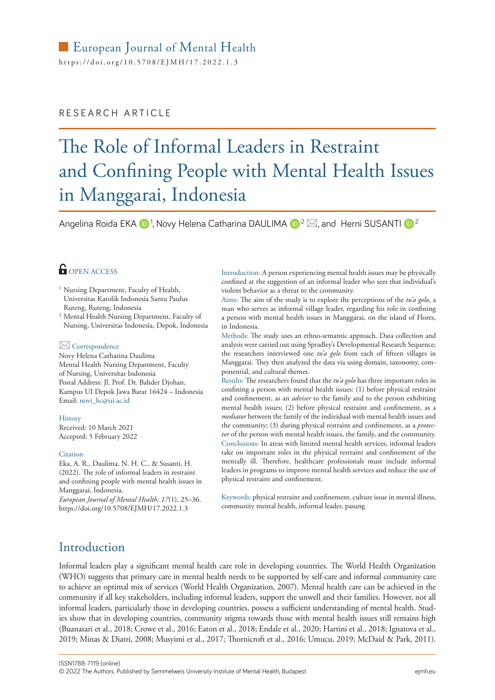# European Journal of Mental Health

https://[doi.org/10.5708/EJMH](https://doi.org/10.5708/EJMH/17.2022.1.3)/17.2022.1.3

### RESEARCH ARTICLE

# The Role of Informal Leaders in Restraint and Confining People with Mental Health Issues in Manggarai, Indonesia

Angelina Roida EKA  $\mathbf{D}^1$ , Novy Helena Catharina DAULIMA  $\mathbf{D}^2\boxtimes$ , and Herni SUSANTI  $\mathbf{D}^2$ 

## **OPEN ACCESS**

- <sup>1</sup> Nursing Department, Faculty of Health, Universitas Katolik Indonesia Santu Paulus Ruteng, Ruteng, Indonesia
- <sup>2</sup> Mental Health Nursing Department, Faculty of Nursing, Universitas Indonesia, Depok, Indonesia

#### Correspondence

Novy Helena Catharina Daulima Mental Health Nursing Department, Faculty of Nursing, Universitas Indonesia Postal Address: Jl. Prof. Dr. Bahder Djohan, Kampus UI Depok Jawa Barat 16424 – Indonesia Email: [novi\\_hc@ui.ac.id](mailto:mailto:novi_hc%40ui.ac.id?subject=)

#### History

Received: 10 March 2021 Accepted: 5 February 2022

#### **Citation**

Eka, A. R., Daulima, N. H. C., & Susanti, H. (2022). The role of informal leaders in restraint and confining people with mental health issues in Manggarai, Indonesia.

*European Journal of Mental Health, 17*(1), 25–36. <https://doi.org/10.5708/EJMH/17.2022.1.3>

Introduction: A person experiencing mental health issues may be physically confined at the suggestion of an informal leader who sees that individual's violent behavior as a threat to the community.

Aims: The aim of the study is to explore the perceptions of the *tu'a golo*, a man who serves as informal village leader, regarding his role in confining a person with mental health issues in Manggarai, on the island of Flores, in Indonesia.

Methods: The study uses an ethno-semantic approach. Data collection and analysis were carried out using Spradley's Developmental Research Sequence; the researchers interviewed one *tu'a golo* from each of fifteen villages in Manggarai. They then analyzed the data via using domain, taxonomy, componential, and cultural themes.

Results: The researchers found that the *tu'a golo* has three important roles in confining a person with mental health issues: (1) before physical restraint and confinement, as an *adviser* to the family and to the person exhibiting mental health issues; (2) before physical restraint and confinement, as a *mediator* between the family of the individual with mental health issues and the community; (3) during physical restraint and confinement, as a *protector* of the person with mental health issues, the family, and the community. Conclusions: In areas with limited mental health services, informal leaders take on important roles in the physical restraint and confinement of the mentally ill. Therefore, healthcare professionals must include informal leaders in programs to improve mental health services and reduce the use of physical restraint and confinement.

Keywords: physical restraint and confinement, culture issue in mental illness, community mental health, informal leader, pasung

## Introduction

Informal leaders play a significant mental health care role in developing countries. The World Health Organization (WHO) suggests that primary care in mental health needs to be supported by self-care and informal community care to achieve an optimal mix of services (World Health Organization, 2007). Mental health care can be achieved in the community if all key stakeholders, including informal leaders, support the unwell and their families. However, not all informal leaders, particularly those in developing countries, possess a sufficient understanding of mental health. Studies show that in developing countries, community stigma towards those with mental health issues still remains high (Buanasari et al., 2018; Crowe et al., 2016; Eaton et al., 2018; Endale et al., 2020; Hartini et al., 2018; Ignatova et al., 2019; Minas & Diatri, 2008; Musyimi et al., 2017; Thornicroft et al., 2016; Umucu, 2019; McDaid & Park, 2011).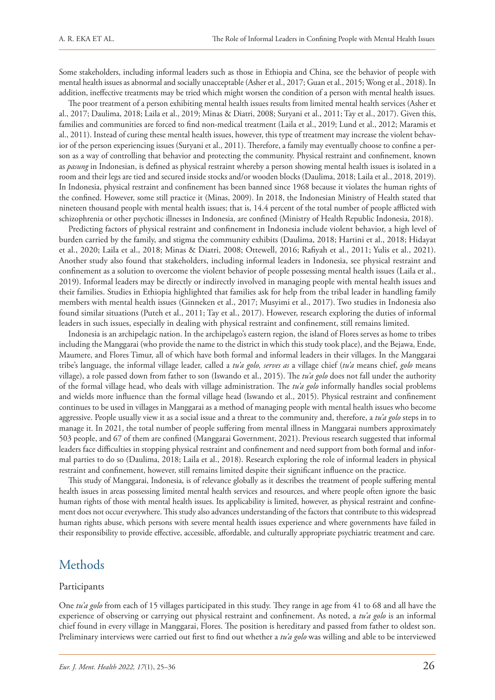Some stakeholders, including informal leaders such as those in Ethiopia and China, see the behavior of people with mental health issues as abnormal and socially unacceptable (Asher et al., 2017; Guan et al., 2015; Wong et al., 2018). In addition, ineffective treatments may be tried which might worsen the condition of a person with mental health issues.

The poor treatment of a person exhibiting mental health issues results from limited mental health services (Asher et al., 2017; Daulima, 2018; Laila et al., 2019; Minas & Diatri, 2008; Suryani et al., 2011; Tay et al., 2017). Given this, families and communities are forced to find non-medical treatment (Laila et al., 2019; Lund et al., 2012; Maramis et al., 2011). Instead of curing these mental health issues, however, this type of treatment may increase the violent behavior of the person experiencing issues (Suryani et al., 2011). Therefore, a family may eventually choose to confine a person as a way of controlling that behavior and protecting the community. Physical restraint and confinement, known as *pasung* in Indonesian, is defined as physical restraint whereby a person showing mental health issues is isolated in a room and their legs are tied and secured inside stocks and/or wooden blocks (Daulima, 2018; Laila et al., 2018, 2019). In Indonesia, physical restraint and confinement has been banned since 1968 because it violates the human rights of the confined. However, some still practice it (Minas, 2009). In 2018, the Indonesian Ministry of Health stated that nineteen thousand people with mental health issues; that is, 14.4 percent of the total number of people afflicted with schizophrenia or other psychotic illnesses in Indonesia, are confined (Ministry of Health Republic Indonesia, 2018).

Predicting factors of physical restraint and confinement in Indonesia include violent behavior, a high level of burden carried by the family, and stigma the community exhibits (Daulima, 2018; Hartini et al., 2018; Hidayat et al., 2020; Laila et al., 2018; Minas & Diatri, 2008; Ottewell, 2016; Rafiyah et al., 2011; Yulis et al., 2021). Another study also found that stakeholders, including informal leaders in Indonesia, see physical restraint and confinement as a solution to overcome the violent behavior of people possessing mental health issues (Laila et al., 2019). Informal leaders may be directly or indirectly involved in managing people with mental health issues and their families. Studies in Ethiopia highlighted that families ask for help from the tribal leader in handling family members with mental health issues (Ginneken et al., 2017; Musyimi et al., 2017). Two studies in Indonesia also found similar situations (Puteh et al., 2011; Tay et al., 2017). However, research exploring the duties of informal leaders in such issues, especially in dealing with physical restraint and confinement, still remains limited.

Indonesia is an archipelagic nation. In the archipelago's eastern region, the island of Flores serves as home to tribes including the Manggarai (who provide the name to the district in which this study took place), and the Bejawa, Ende, Maumere, and Flores Timur, all of which have both formal and informal leaders in their villages. In the Manggarai tribe's language, the informal village leader, called a *tu'a golo, serves as* a village chief (*tu'a* means chief, *golo* means village), a role passed down from father to son (Iswando et al., 2015). The *tu'a golo* does not fall under the authority of the formal village head, who deals with village administration. The *tu'a golo* informally handles social problems and wields more influence than the formal village head (Iswando et al., 2015). Physical restraint and confinement continues to be used in villages in Manggarai as a method of managing people with mental health issues who become aggressive. People usually view it as a social issue and a threat to the community and, therefore, a *tu'a golo* steps in to manage it. In 2021, the total number of people suffering from mental illness in Manggarai numbers approximately 503 people, and 67 of them are confined (Manggarai Government, 2021). Previous research suggested that informal leaders face difficulties in stopping physical restraint and confinement and need support from both formal and informal parties to do so (Daulima, 2018; Laila et al., 2018). Research exploring the role of informal leaders in physical restraint and confinement, however, still remains limited despite their significant influence on the practice.

This study of Manggarai, Indonesia, is of relevance globally as it describes the treatment of people suffering mental health issues in areas possessing limited mental health services and resources, and where people often ignore the basic human rights of those with mental health issues. Its applicability is limited, however, as physical restraint and confinement does not occur everywhere. This study also advances understanding of the factors that contribute to this widespread human rights abuse, which persons with severe mental health issues experience and where governments have failed in their responsibility to provide effective, accessible, affordable, and culturally appropriate psychiatric treatment and care.

## Methods

#### Participants

One *tu'a golo* from each of 15 villages participated in this study. They range in age from 41 to 68 and all have the experience of observing or carrying out physical restraint and confinement. As noted, a *tu'a golo* is an informal chief found in every village in Manggarai, Flores. The position is hereditary and passed from father to oldest son. Preliminary interviews were carried out first to find out whether a *tu'a golo* was willing and able to be interviewed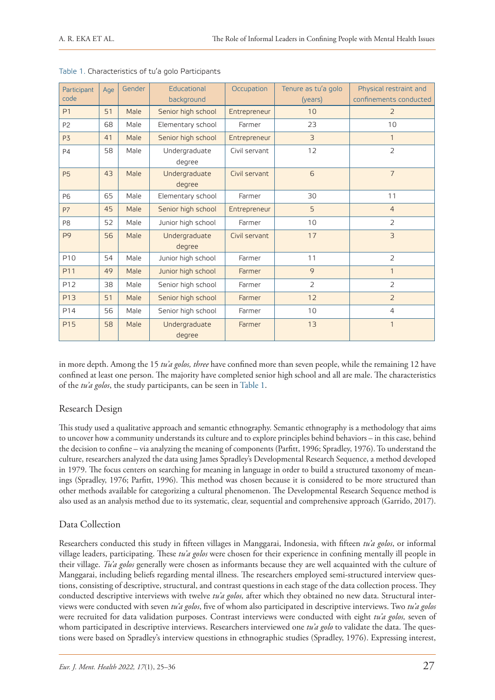| Participant<br>code | Age | Gender | Educational<br>background | Occupation    | Tenure as tu'a golo<br>(years) | Physical restraint and<br>confinements conducted |
|---------------------|-----|--------|---------------------------|---------------|--------------------------------|--------------------------------------------------|
| P <sub>1</sub>      | 51  | Male   | Senior high school        | Entrepreneur  | 10                             | $\overline{2}$                                   |
| P <sub>2</sub>      | 68  | Male   | Elementary school         | Farmer        | 23                             | 10                                               |
| P <sub>3</sub>      | 41  | Male   | Senior high school        | Entrepreneur  | 3                              | $\mathbf{1}$                                     |
| <b>P4</b>           | 58  | Male   | Undergraduate<br>degree   | Civil servant | 12                             | $\overline{2}$                                   |
| <b>P5</b>           | 43  | Male   | Undergraduate<br>degree   | Civil servant | 6                              | $\overline{7}$                                   |
| <b>P6</b>           | 65  | Male   | Elementary school         | Farmer        | 30                             | 11                                               |
| <b>P7</b>           | 45  | Male   | Senior high school        | Entrepreneur  | 5                              | $\overline{4}$                                   |
| P8                  | 52  | Male   | Junior high school        | Farmer        | 10                             | $\overline{2}$                                   |
| P <sub>9</sub>      | 56  | Male   | Undergraduate<br>degree   | Civil servant | 17                             | $\overline{3}$                                   |
| P <sub>10</sub>     | 54  | Male   | Junior high school        | Farmer        | 11                             | $\overline{2}$                                   |
| P11                 | 49  | Male   | Junior high school        | Farmer        | 9                              | $\mathbf{1}$                                     |
| P12                 | 38  | Male   | Senior high school        | Farmer        | $\overline{2}$                 | $\overline{2}$                                   |
| P <sub>13</sub>     | 51  | Male   | Senior high school        | Farmer        | 12                             | $\overline{2}$                                   |
| P14                 | 56  | Male   | Senior high school        | Farmer        | 10                             | $\overline{4}$                                   |
| <b>P15</b>          | 58  | Male   | Undergraduate<br>degree   | Farmer        | 13                             | $\mathbf{1}$                                     |

in more depth. Among the 15 *tu'a golos, three* have confined more than seven people, while the remaining 12 have confined at least one person. The majority have completed senior high school and all are male. The characteristics of the *tu'a golos*, the study participants, can be seen in Table 1.

#### Research Design

This study used a qualitative approach and semantic ethnography. Semantic ethnography is a methodology that aims to uncover how a community understands its culture and to explore principles behind behaviors – in this case, behind the decision to confine – via analyzing the meaning of components (Parfitt, 1996; Spradley, 1976). To understand the culture, researchers analyzed the data using James Spradley's Developmental Research Sequence, a method developed in 1979. The focus centers on searching for meaning in language in order to build a structured taxonomy of meanings (Spradley, 1976; Parfitt, 1996). This method was chosen because it is considered to be more structured than other methods available for categorizing a cultural phenomenon. The Developmental Research Sequence method is also used as an analysis method due to its systematic, clear, sequential and comprehensive approach (Garrido, 2017).

#### Data Collection

Researchers conducted this study in fifteen villages in Manggarai, Indonesia, with fifteen *tu'a golos*, or informal village leaders, participating. These *tu'a golos* were chosen for their experience in confining mentally ill people in their village. *Tu'a golos* generally were chosen as informants because they are well acquainted with the culture of Manggarai, including beliefs regarding mental illness. The researchers employed semi-structured interview questions, consisting of descriptive, structural, and contrast questions in each stage of the data collection process. They conducted descriptive interviews with twelve *tu'a golos,* after which they obtained no new data. Structural interviews were conducted with seven *tu'a golos*, five of whom also participated in descriptive interviews. Two *tu'a golos*  were recruited for data validation purposes. Contrast interviews were conducted with eight *tu'a golos,* seven of whom participated in descriptive interviews. Researchers interviewed one *tu'a golo* to validate the data. The questions were based on Spradley's interview questions in ethnographic studies (Spradley, 1976). Expressing interest,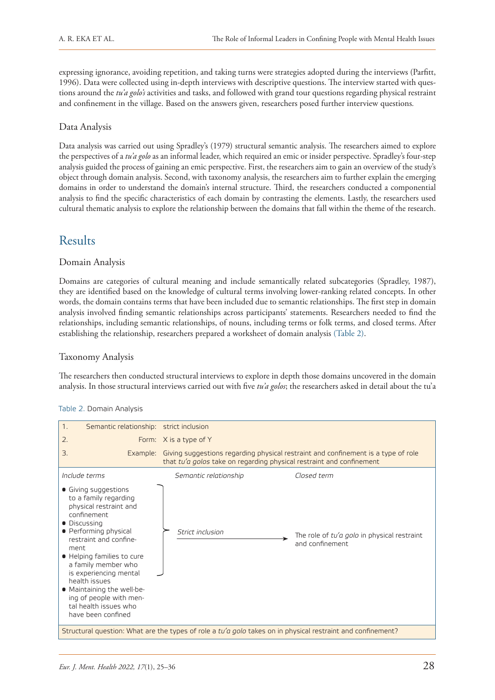expressing ignorance, avoiding repetition, and taking turns were strategies adopted during the interviews (Parfitt, 1996). Data were collected using in-depth interviews with descriptive questions. The interview started with questions around the *tu'a golo's* activities and tasks, and followed with grand tour questions regarding physical restraint and confinement in the village. Based on the answers given, researchers posed further interview questions*.*

#### Data Analysis

Data analysis was carried out using Spradley's (1979) structural semantic analysis. The researchers aimed to explore the perspectives of a *tu'a golo* as an informal leader, which required an emic or insider perspective. Spradley's four-step analysis guided the process of gaining an emic perspective. First, the researchers aim to gain an overview of the study's object through domain analysis. Second, with taxonomy analysis, the researchers aim to further explain the emerging domains in order to understand the domain's internal structure. Third, the researchers conducted a componential analysis to find the specific characteristics of each domain by contrasting the elements. Lastly, the researchers used cultural thematic analysis to explore the relationship between the domains that fall within the theme of the research.

# Results

#### Domain Analysis

Domains are categories of cultural meaning and include semantically related subcategories (Spradley, 1987), they are identified based on the knowledge of cultural terms involving lower-ranking related concepts. In other words, the domain contains terms that have been included due to semantic relationships. The first step in domain analysis involved finding semantic relationships across participants' statements. Researchers needed to find the relationships, including semantic relationships, of nouns, including terms or folk terms, and closed terms. After establishing the relationship, researchers prepared a worksheet of domain analysis (Table 2).

#### Taxonomy Analysis

The researchers then conducted structural interviews to explore in depth those domains uncovered in the domain analysis. In those structural interviews carried out with five *tu'a golos*; the researchers asked in detail about the tu'a



#### Table 2. Domain Analysis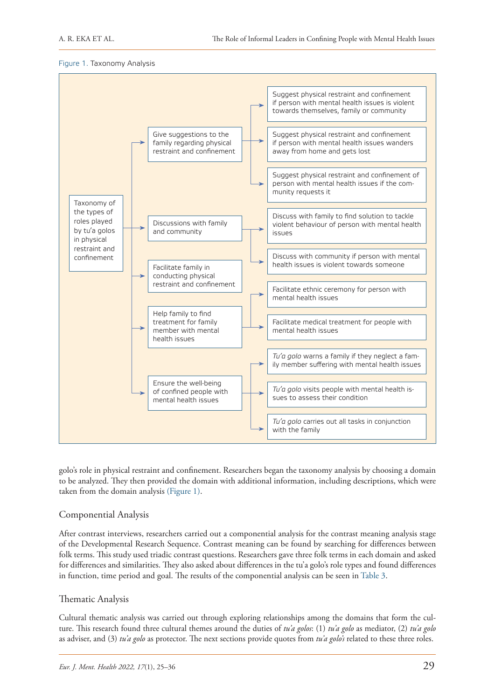



golo's role in physical restraint and confinement. Researchers began the taxonomy analysis by choosing a domain to be analyzed. They then provided the domain with additional information, including descriptions, which were taken from the domain analysis (Figure 1).

#### Componential Analysis

After contrast interviews, researchers carried out a componential analysis for the contrast meaning analysis stage of the Developmental Research Sequence. Contrast meaning can be found by searching for differences between folk terms. This study used triadic contrast questions. Researchers gave three folk terms in each domain and asked for differences and similarities. They also asked about differences in the tu'a golo's role types and found differences in function, time period and goal. The results of the componential analysis can be seen in Table 3.

#### Thematic Analysis

Cultural thematic analysis was carried out through exploring relationships among the domains that form the culture. This research found three cultural themes around the duties of *tu'a golos*: (1) *tu'a golo* as mediator, (2) *tu'a golo* as adviser, and (3) *tu'a golo* as protector. The next sections provide quotes from *tu'a golo's* related to these three roles.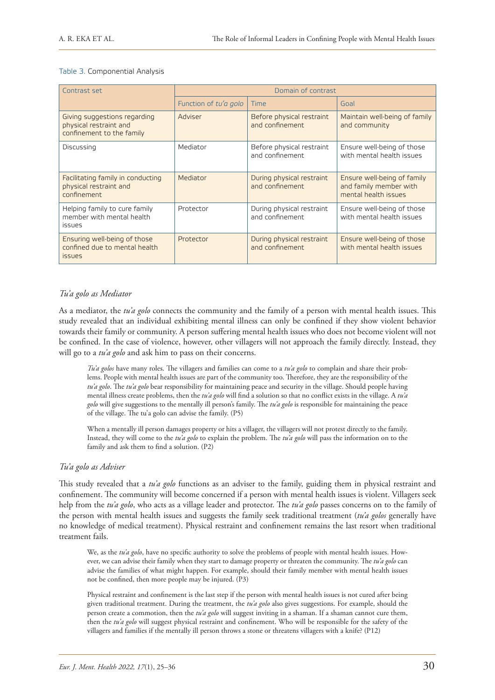#### Table 3. Componential Analysis

| Contrast set                                                                        | Domain of contrast    |                                              |                                                                               |  |
|-------------------------------------------------------------------------------------|-----------------------|----------------------------------------------|-------------------------------------------------------------------------------|--|
|                                                                                     | Function of tu'a golo | <b>Time</b>                                  | Goal                                                                          |  |
| Giving suggestions regarding<br>physical restraint and<br>confinement to the family | Adviser               | Before physical restraint<br>and confinement | Maintain well-being of family<br>and community                                |  |
| Discussing                                                                          | Mediator              | Before physical restraint<br>and confinement | Ensure well-being of those<br>with mental health issues                       |  |
| Facilitating family in conducting<br>physical restraint and<br>confinement          | Mediator              | During physical restraint<br>and confinement | Ensure well-being of family<br>and family member with<br>mental health issues |  |
| Helping family to cure family<br>member with mental health<br><b>issues</b>         | Protector             | During physical restraint<br>and confinement | Ensure well-being of those<br>with mental health issues                       |  |
| Ensuring well-being of those<br>confined due to mental health<br><i>issues</i>      | Protector             | During physical restraint<br>and confinement | Ensure well-being of those<br>with mental health issues                       |  |

#### *Tu'a golo as Mediator*

As a mediator, the *tu'a golo* connects the community and the family of a person with mental health issues. This study revealed that an individual exhibiting mental illness can only be confined if they show violent behavior towards their family or community. A person suffering mental health issues who does not become violent will not be confined. In the case of violence, however, other villagers will not approach the family directly. Instead, they will go to a *tu'a golo* and ask him to pass on their concerns.

*Tu'a golos* have many roles. The villagers and families can come to a *tu'a golo* to complain and share their problems. People with mental health issues are part of the community too. Therefore, they are the responsibility of the *tu'a golo*. The *tu'a golo* bear responsibility for maintaining peace and security in the village. Should people having mental illness create problems, then the *tu'a golo* will find a solution so that no conflict exists in the village. A *tu'a golo* will give suggestions to the mentally ill person's family. The *tu'a golo* is responsible for maintaining the peace of the village. The tu'a golo can advise the family. (P5)

When a mentally ill person damages property or hits a villager, the villagers will not protest directly to the family. Instead, they will come to the *tu'a golo* to explain the problem. The *tu'a golo* will pass the information on to the family and ask them to find a solution. (P2)

#### *Tu'a golo as Adviser*

This study revealed that a *tu'a golo* functions as an adviser to the family, guiding them in physical restraint and confinement. The community will become concerned if a person with mental health issues is violent. Villagers seek help from the *tu'a golo*, who acts as a village leader and protector. The *tu'a golo* passes concerns on to the family of the person with mental health issues and suggests the family seek traditional treatment (*tu'a golos* generally have no knowledge of medical treatment). Physical restraint and confinement remains the last resort when traditional treatment fails.

We, as the *tu'a golo*, have no specific authority to solve the problems of people with mental health issues. However, we can advise their family when they start to damage property or threaten the community. The *tu'a golo* can advise the families of what might happen. For example, should their family member with mental health issues not be confined, then more people may be injured. (P3)

Physical restraint and confinement is the last step if the person with mental health issues is not cured after being given traditional treatment. During the treatment, the *tu'a golo* also gives suggestions. For example, should the person create a commotion, then the *tu'a golo* will suggest inviting in a shaman. If a shaman cannot cure them, then the *tu'a golo* will suggest physical restraint and confinement. Who will be responsible for the safety of the villagers and families if the mentally ill person throws a stone or threatens villagers with a knife? (P12)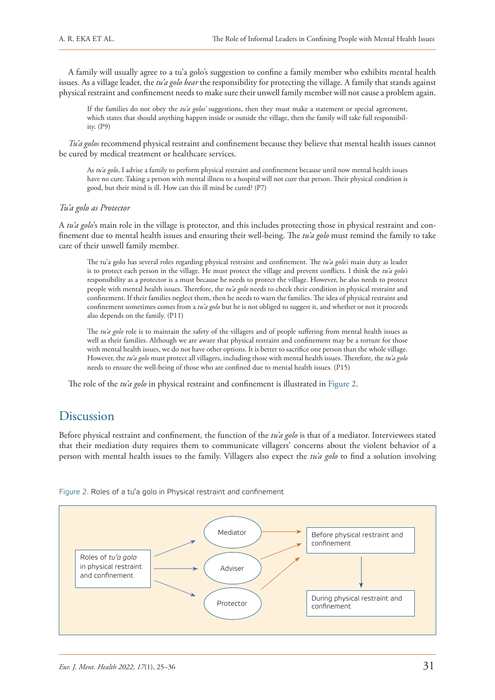A family will usually agree to a tu'a golo's suggestion to confine a family member who exhibits mental health issues. As a village leader, the *tu'a golo bear* the responsibility for protecting the village. A family that stands against physical restraint and confinement needs to make sure their unwell family member will not cause a problem again.

If the families do not obey the *tu'a golos'* suggestions, then they must make a statement or special agreement, which states that should anything happen inside or outside the village, then the family will take full responsibility. (P9)

*Tu'a golos* recommend physical restraint and confinement because they believe that mental health issues cannot be cured by medical treatment or healthcare services.

As *tu'a golo*, I advise a family to perform physical restraint and confinement because until now mental health issues have no cure. Taking a person with mental illness to a hospital will not cure that person. Their physical condition is good, but their mind is ill. How can this ill mind be cured? (P7)

#### *Tu'a golo as Protector*

A *tu'a golo*'s main role in the village is protector, and this includes protecting those in physical restraint and confinement due to mental health issues and ensuring their well-being. The *tu'a golo* must remind the family to take care of their unwell family member.

The tu'a golo has several roles regarding physical restraint and confinement. The *tu'a golo's* main duty as leader is to protect each person in the village. He must protect the village and prevent conflicts. I think the *tu'a golo's* responsibility as a protector is a must because he needs to protect the village. However, he also needs to protect people with mental health issues. Therefore, the *tu'a golo* needs to check their condition in physical restraint and confinement. If their families neglect them, then he needs to warn the families. The idea of physical restraint and confinement sometimes comes from a *tu'a golo* but he is not obliged to suggest it, and whether or not it proceeds also depends on the family. (P11)

The *tu'a golo* role is to maintain the safety of the villagers and of people suffering from mental health issues as well as their families. Although we are aware that physical restraint and confinement may be a torture for those with mental health issues, we do not have other options. It is better to sacrifice one person than the whole village. However, the *tu'a golo* must protect all villagers, including those with mental health issues. Therefore, the *tu'a golo* needs to ensure the well-being of those who are confined due to mental health issues. (P15)

The role of the *tu'a golo* in physical restraint and confinement is illustrated in Figure 2.

# Discussion

Before physical restraint and confinement*,* the function of the *tu'a golo* is that of a mediator. Interviewees stated that their mediation duty requires them to communicate villagers' concerns about the violent behavior of a person with mental health issues to the family. Villagers also expect the *tu'a golo* to find a solution involving



Figure 2. Roles of a tu'a golo in Physical restraint and confinement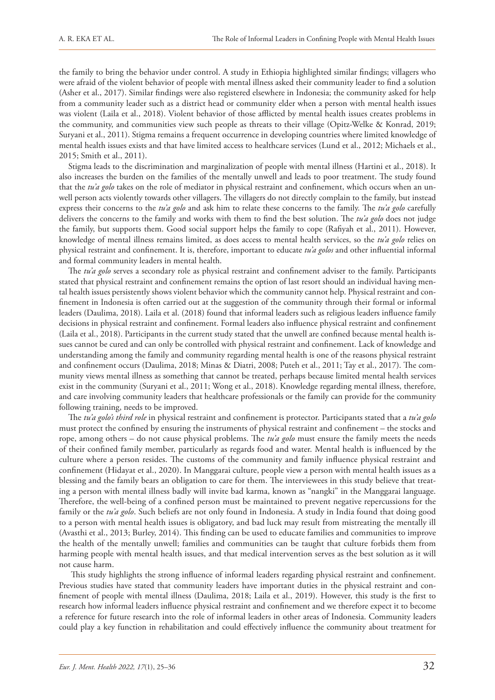the family to bring the behavior under control. A study in Ethiopia highlighted similar findings; villagers who were afraid of the violent behavior of people with mental illness asked their community leader to find a solution (Asher et al., 2017). Similar findings were also registered elsewhere in Indonesia; the community asked for help from a community leader such as a district head or community elder when a person with mental health issues was violent (Laila et al., 2018). Violent behavior of those afflicted by mental health issues creates problems in the community, and communities view such people as threats to their village (Opitz-Welke & Konrad, 2019; Suryani et al., 2011). Stigma remains a frequent occurrence in developing countries where limited knowledge of mental health issues exists and that have limited access to healthcare services (Lund et al., 2012; Michaels et al., 2015; Smith et al., 2011).

Stigma leads to the discrimination and marginalization of people with mental illness (Hartini et al., 2018). It also increases the burden on the families of the mentally unwell and leads to poor treatment. The study found that the *tu'a golo* takes on the role of mediator in physical restraint and confinement, which occurs when an unwell person acts violently towards other villagers. The villagers do not directly complain to the family, but instead express their concerns to the *tu'a golo* and ask him to relate these concerns to the family. The *tu'a golo* carefully delivers the concerns to the family and works with them to find the best solution. The *tu'a golo* does not judge the family, but supports them. Good social support helps the family to cope (Rafiyah et al., 2011). However, knowledge of mental illness remains limited, as does access to mental health services, so the *tu'a golo* relies on physical restraint and confinement. It is, therefore, important to educate *tu'a golos* and other influential informal and formal community leaders in mental health.

The *tu'a golo* serves a secondary role as physical restraint and confinement adviser to the family. Participants stated that physical restraint and confinement remains the option of last resort should an individual having mental health issues persistently shows violent behavior which the community cannot help. Physical restraint and confinement in Indonesia is often carried out at the suggestion of the community through their formal or informal leaders (Daulima, 2018). Laila et al. (2018) found that informal leaders such as religious leaders influence family decisions in physical restraint and confinement. Formal leaders also influence physical restraint and confinement (Laila et al., 2018). Participants in the current study stated that the unwell are confined because mental health issues cannot be cured and can only be controlled with physical restraint and confinement. Lack of knowledge and understanding among the family and community regarding mental health is one of the reasons physical restraint and confinement occurs (Daulima, 2018; Minas & Diatri, 2008; Puteh et al., 2011; Tay et al., 2017). The community views mental illness as something that cannot be treated, perhaps because limited mental health services exist in the community (Suryani et al., 2011; Wong et al., 2018). Knowledge regarding mental illness, therefore, and care involving community leaders that healthcare professionals or the family can provide for the community following training, needs to be improved.

The *tu'a golo's third role* in physical restraint and confinement is protector. Participants stated that a *tu'a golo* must protect the confined by ensuring the instruments of physical restraint and confinement – the stocks and rope, among others – do not cause physical problems. The *tu'a golo* must ensure the family meets the needs of their confined family member, particularly as regards food and water. Mental health is influenced by the culture where a person resides. The customs of the community and family influence physical restraint and confinement (Hidayat et al., 2020). In Manggarai culture, people view a person with mental health issues as a blessing and the family bears an obligation to care for them. The interviewees in this study believe that treating a person with mental illness badly will invite bad karma, known as "nangki" in the Manggarai language. Therefore, the well-being of a confined person must be maintained to prevent negative repercussions for the family or the *tu'a golo*. Such beliefs are not only found in Indonesia. A study in India found that doing good to a person with mental health issues is obligatory, and bad luck may result from mistreating the mentally ill (Avasthi et al., 2013; Burley, 2014). This finding can be used to educate families and communities to improve the health of the mentally unwell; families and communities can be taught that culture forbids them from harming people with mental health issues, and that medical intervention serves as the best solution as it will not cause harm.

 This study highlights the strong influence of informal leaders regarding physical restraint and confinement. Previous studies have stated that community leaders have important duties in the physical restraint and confinement of people with mental illness (Daulima, 2018; Laila et al., 2019). However, this study is the first to research how informal leaders influence physical restraint and confinement and we therefore expect it to become a reference for future research into the role of informal leaders in other areas of Indonesia. Community leaders could play a key function in rehabilitation and could effectively influence the community about treatment for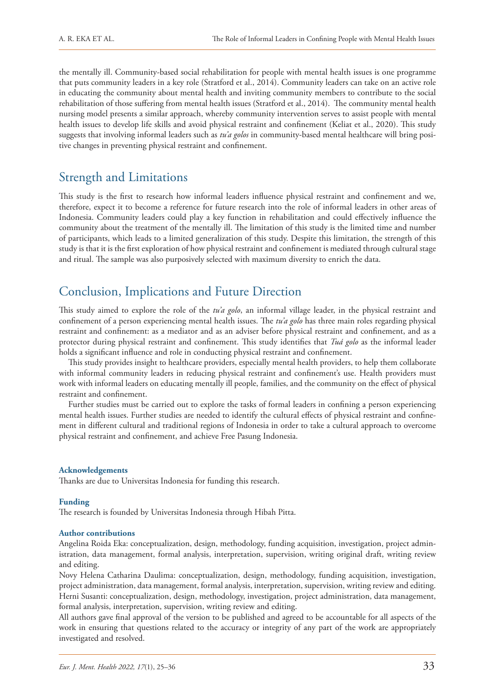the mentally ill. Community-based social rehabilitation for people with mental health issues is one programme that puts community leaders in a key role (Stratford et al., 2014). Community leaders can take on an active role in educating the community about mental health and inviting community members to contribute to the social rehabilitation of those suffering from mental health issues (Stratford et al., 2014). The community mental health nursing model presents a similar approach, whereby community intervention serves to assist people with mental health issues to develop life skills and avoid physical restraint and confinement (Keliat et al., 2020). This study suggests that involving informal leaders such as *tu'a golos* in community-based mental healthcare will bring positive changes in preventing physical restraint and confinement.

## Strength and Limitations

This study is the first to research how informal leaders influence physical restraint and confinement and we, therefore, expect it to become a reference for future research into the role of informal leaders in other areas of Indonesia. Community leaders could play a key function in rehabilitation and could effectively influence the community about the treatment of the mentally ill. The limitation of this study is the limited time and number of participants, which leads to a limited generalization of this study. Despite this limitation, the strength of this study is that it is the first exploration of how physical restraint and confinement is mediated through cultural stage and ritual. The sample was also purposively selected with maximum diversity to enrich the data.

# Conclusion, Implications and Future Direction

This study aimed to explore the role of the *tu'a golo*, an informal village leader, in the physical restraint and confinement of a person experiencing mental health issues. The *tu'a golo* has three main roles regarding physical restraint and confinement: as a mediator and as an adviser before physical restraint and confinement, and as a protector during physical restraint and confinement. This study identifies that *Tuá golo* as the informal leader holds a significant influence and role in conducting physical restraint and confinement.

This study provides insight to healthcare providers, especially mental health providers, to help them collaborate with informal community leaders in reducing physical restraint and confinement's use. Health providers must work with informal leaders on educating mentally ill people, families, and the community on the effect of physical restraint and confinement.

Further studies must be carried out to explore the tasks of formal leaders in confining a person experiencing mental health issues. Further studies are needed to identify the cultural effects of physical restraint and confinement in different cultural and traditional regions of Indonesia in order to take a cultural approach to overcome physical restraint and confinement, and achieve Free Pasung Indonesia.

#### **Acknowledgements**

Thanks are due to Universitas Indonesia for funding this research.

#### **Funding**

The research is founded by Universitas Indonesia through Hibah Pitta.

#### **Author contributions**

Angelina Roida Eka: conceptualization, design, methodology, funding acquisition, investigation, project administration, data management, formal analysis, interpretation, supervision, writing original draft, writing review and editing.

Novy Helena Catharina Daulima: conceptualization, design, methodology, funding acquisition, investigation, project administration, data management, formal analysis, interpretation, supervision, writing review and editing. Herni Susanti: conceptualization, design, methodology, investigation, project administration, data management, formal analysis, interpretation, supervision, writing review and editing.

All authors gave final approval of the version to be published and agreed to be accountable for all aspects of the work in ensuring that questions related to the accuracy or integrity of any part of the work are appropriately investigated and resolved.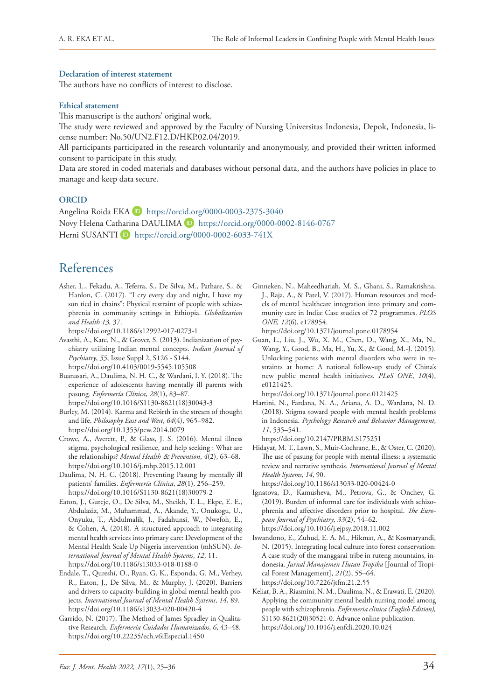#### **Declaration of interest statement**

The authors have no conflicts of interest to disclose.

#### **Ethical statement**

This manuscript is the authors' original work.

The study were reviewed and approved by the Faculty of Nursing Universitas Indonesia, Depok, Indonesia, license number: No.50/UN2.F12.D/HKP.02.04/2019.

All participants participated in the research voluntarily and anonymously, and provided their written informed consent to participate in this study.

Data are stored in coded materials and databases without personal data, and the authors have policies in place to manage and keep data secure.

#### **ORCID**

Angelina Roida EKA D <https://orcid.org/0000-0003-2375-3040> Novy Helena Catharina DAULIMA D <https://orcid.org/0000-0002-8146-0767> Herni SUSANTI<sup>D</sup> https://orcid.org/0000-0002-6033-741X

# References

Asher, L., Fekadu, A., Teferra, S., De Silva, M., Pathare, S., & Hanlon, C. (2017). "I cry every day and night, I have my son tied in chains": Physical restraint of people with schizophrenia in community settings in Ethiopia. *Globalization and Health 13,* 37.

<https://doi.org/10.1186/s12992-017-0273-1>

Avasthi, A., Kate, N., & Grover, S. (2013). Indianization of psychiatry utilizing Indian mental concepts. *Indian Journal of Psychiatry*, *55*, Issue Suppl 2, S126 - S144. <https://doi.org/10.4103/0019-5545.105508>

Buanasari, A., Daulima, N. H. C., & Wardani, I. Y. (2018). The experience of adolescents having mentally ill parents with pasung. *Enfermería Clínica*, *28*(1), 83–87. [https://doi.org/10.1016/S1130-8621\(18\)30043-3](https://doi.org/10.1016/S1130-8621(18)30043-3)

Burley, M. (2014). Karma and Rebirth in the stream of thought and life. *Philosophy East and West*, *64*(4), 965–982. <https://doi.org/10.1353/pew.2014.0079>

Crowe, A., Averett, P., & Glass, J. S. (2016). Mental illness stigma, psychological resilience, and help seeking : What are the relationships? *Mental Health* & *Prevention*, *4*(2), 63–68. <https://doi.org/10.1016/j.mhp.2015.12.001>

Daulima, N. H. C. (2018). Preventing Pasung by mentally ill patients' families. *Enfermería Clínica*, *28*(1), 256–259. [https://doi.org/10.1016/S1130-8621\(18\)30079-2](https://doi.org/10.1016/S1130-8621(18)30079-2)

Eaton, J., Gureje, O., De Silva, M., Sheikh, T. L., Ekpe, E. E., Abdulaziz, M., Muhammad, A., Akande, Y., Onukogu, U., Onyuku, T., Abdulmalik, J., Fadahunsi, W., Nwefoh, E., & Cohen, A. (2018). A structured approach to integrating mental health services into primary care: Development of the Mental Health Scale Up Nigeria intervention (mhSUN). *International Journal of Mental Health Systems*, *12*, 11. <https://doi.org/10.1186/s13033-018-0188-0>

Endale, T., Qureshi, O., Ryan, G. K., Esponda, G. M., Verhey, R., Eaton, J., De Silva, M., & Murphy, J. (2020). Barriers and drivers to capacity-building in global mental health projects. *International Journal of Mental Health Systems*, *14*, 89. <https://doi.org/10.1186/s13033-020-00420-4>

Garrido, N. (2017). The Method of James Spradley in Qualitative Research. *Enfermería Cuidados Humanizados*, *6*, 43–48. <https://doi.org/10.22235/ech.v6iEspecial.1450>

Ginneken, N., Maheedhariah, M. S., Ghani, S., Ramakrishna, J., Raja, A., & Patel, V. (2017). Human resources and models of mental healthcare integration into primary and community care in India: Case studies of 72 programmes. *PLOS ONE, 12*(6), e178954.

<https://doi.org/10.1371/journal.pone.0178954>

Guan, L., Liu, J., Wu, X. M., Chen, D., Wang, X., Ma, N., Wang, Y., Good, B., Ma, H., Yu, X., & Good, M.-J. (2015). Unlocking patients with mental disorders who were in restraints at home: A national follow-up study of China's new public mental health initiatives. *PLoS ONE*, *10*(4), e0121425.

<https://doi.org/10.1371/journal.pone.0121425>

Hartini, N., Fardana, N. A., Ariana, A. D., Wardana, N. D. (2018). Stigma toward people with mental health problems in Indonesia. *Psychology Research and Behavior Management*, *11*, 535–541.

<https://doi.org/10.2147/PRBM.S175251>

Hidayat, M. T., Lawn, S., Muir-Cochrane, E., & Oster, C. (2020). The use of pasung for people with mental illness: a systematic review and narrative synthesis. *International Journal of Mental Health Systems*, *14*, 90.

<https://doi.org/10.1186/s13033-020-00424-0>

Ignatova, D., Kamusheva, M., Petrova, G., & Onchev, G. (2019). Burden of informal care for individuals with schizophrenia and affective disorders prior to hospital. *The European Journal of Psychiatry*, *33*(2), 54–62. <https://doi.org/10.1016/j.ejpsy.2018.11.002>

Iswandono, E., Zuhud, E. A. M., Hikmat, A., & Kosmaryandi, N. (2015). Integrating local culture into forest conservation: A case study of the manggarai tribe in ruteng mountains, indonesia. *Jurnal Manajemen Hutan Tropika* [Journal of Tropical Forest Management], *21*(2), 55–64. <https://doi.org/10.7226/jtfm.21.2.55>

Keliat, B. A., Riasmini, N. M., Daulima, N., & Erawati, E. (2020). Applying the community mental health nursing model among people with schizophrenia. *Enfermeria clinica (English Edition),*  S1130-8621(20)30521-0. Advance online publication. <https://doi.org/10.1016/j.enfcli.2020.10.024>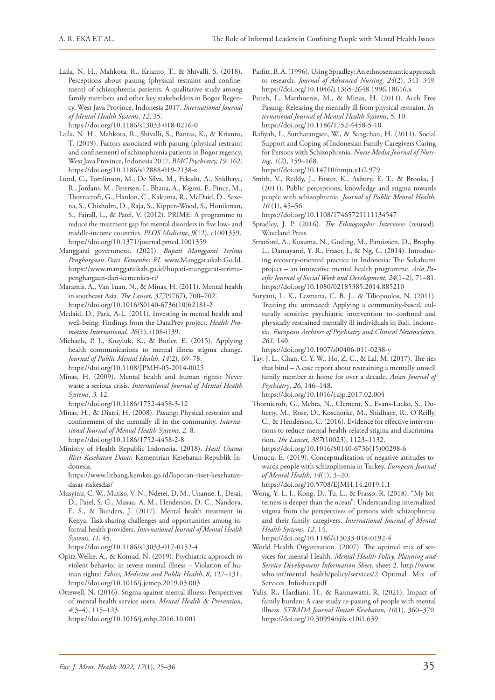Laila, N. H., Mahkota, R., Krianto, T., & Shivalli, S. (2018). Perceptions about pasung (physical restraint and confinement) of schizophrenia patients: A qualitative study among family members and other key stakeholders in Bogor Regency, West Java Province, Indonesia 2017. *International Journal of Mental Health Systems*, *12*, 35.

<https://doi.org/10.1186/s13033-018-0216-0>

- Laila, N. H., Mahkota, R., Shivalli, S., Bantas, K., & Krianto, T. (2019). Factors associated with pasung (physical restraint and confinement) of schizophrenia patients in Bogor regency, West Java Province, Indonesia 2017. *BMC Psychiatry, 19,* 162. <https://doi.org/10.1186/s12888-019-2138-z>
- Lund, C., Tomlinson, M., De Silva, M., Fekadu, A., Shidhaye, R., Jordans, M., Petersen, I., Bhana, A., Kigozi, F., Pince, M., Thornicroft, G., Hanlon, C., Kakuma, R., McDaid, D., Saxena, S., Chisholm, D., Raja, S., Kippen-Wood, S., Honikman, S., Fairall, L., & Patel, V. (2012). PRIME: A programme to reduce the treatment gap for mental disorders in five low- and middle-income countries. *PLOS Medicine*, *9*(12), e1001359. <https://doi.org/10.1371/journal.pmed.1001359>
- Manggarai government. (2021). *Bupati Manggarai Terima Penghargaan Dari Kemenkes RI.* www.Manggaraikab.Go.Id. [https://www.manggaraikab.go.id/bupati-manggarai-terima](https://www.manggaraikab.go.id/bupati-manggarai-terima-penghargaan-dari-kemenkes-ri/)[penghargaan-dari-kemenkes-ri/](https://www.manggaraikab.go.id/bupati-manggarai-terima-penghargaan-dari-kemenkes-ri/)
- Maramis, A., Van Tuan, N., & Minas, H. (2011). Mental health in southeast Asia. *The Lancet*, *377*(9767), 700–702. [https://doi.org/10.1016/S0140-6736\(10\)62181-2](https://doi.org/10.1016/S0140-6736(10)62181-2)
- Mcdaid, D., Park, A-L. (2011). Investing in mental health and well-being: Findings from the DataPrev project, *Health Promotion International, 26*(1), i108-i139.
- Michaels, P. J., Kosyluk, K., & Butler, E. (2015). Applying health communications to mental illness stigma change. *Journal of Public Mental Health*, *14*(2), 69–78. <https://doi.org/10.1108/JPMH-05-2014-0025>
- Minas, H. (2009). Mental health and human rights: Never waste a serious crisis. *International Journal of Mental Health Systems*, *3,* 12.

<https://doi.org/10.1186/1752-4458-3-12>

- Minas, H., & Diatri, H. (2008). Pasung: Physical restraint and confinement of the mentally ill in the community. *International Journal of Mental Health Systems*, *2,* 8. <https://doi.org/10.1186/1752-4458-2-8>
- Ministry of Health Republic Indonesia. (2018). *Hasil Utama Riset Kesehatan Dasar.* Kementrian Kesehatan Republik Indonesia.

[https://www.litbang.kemkes.go.id/laporan-riset-kesehatan](https://www.litbang.kemkes.go.id/laporan-riset-kesehatan-dasar-riskesdas/)[dasar-riskesdas/](https://www.litbang.kemkes.go.id/laporan-riset-kesehatan-dasar-riskesdas/)

Musyimi, C. W., Mutiso, V. N., Ndetei, D. M., Unanue, I., Desai, D., Patel, S. G., Musau, A. M., Henderson, D. C., Nandoya, E. S., & Bunders, J. (2017). Mental health treatment in Kenya: Task-sharing challenges and opportunities among informal health providers. *International Journal of Mental Health Systems*, *11*, 45.

<https://doi.org/10.1186/s13033-017-0152-4>

- Opitz-Welke, A., & Konrad, N. (2019). Psychiatric approach to violent behavior in severe mental illness – Violation of human rights? *Ethics, Medicine and Public Health*, *8*, 127–131. <https://doi.org/10.1016/j.jemep.2019.03.003>
- Ottewell, N. (2016). Stigma against mental illness: Perspectives of mental health service users. *Mental Health* & *Prevention*, *4*(3–4), 115–123.

<https://doi.org/10.1016/j.mhp.2016.10.001>

- Parfitt, B. A. (1996). Using Spradley: An ethnosemantic approach to research. *Journal of Advanced Nursing*, *24*(2), 341–349. <https://doi.org/10.1046/j.1365-2648.1996.18616.x>
- Puteh, I., Marthoenis, M., & Minas, H. (2011). Aceh Free Pasung: Releasing the mentally ill from physical restraint. *International Journal of Mental Health Systems*, *5*, 10. <https://doi.org/10.1186/1752-4458-5-10>
- Rafiyah, I., Suttharangsee, W., & Sangchan, H. (2011). Social Support and Coping of Indonesian Family Caregivers Caring for Persons with Schizophrenia. *Nurse Media Journal of Nursing*, *1*(2), 159–168.

<https://doi.org/10.14710/nmjn.v1i2.979>

Smith, V., Reddy, J., Foster, K., Asbury, E. T., & Brooks, J. (2011). Public perceptions, knowledge and stigma towards people with schizophrenia. *Journal of Public Mental Health*, *10* (1), 45–56.

<https://doi.org/10.1108/17465721111134547>

- Spradley, J. P. (2016). *The Ethnographic Interview* (reiused). Waveland Press.
- Stratford, A., Kusuma, N., Goding, M., Paroissien, D., Brophy. L., Damayanti, Y. R., Fraser, J., & Ng, C. (2014). Introducing recovery-oriented practice in Indonesia: The Sukabumi project – an innovative mental health programme. *Asia Pacific Journal of Social Work and Development*, *24*(1–2), 71–81. <https://doi.org/10.1080/02185385.2014.885210>
- Suryani, L. K., Lesmana, C. B. J., & Tiliopoulos, N. (2011). Treating the untreated: Applying a community-based, culturally sensitive psychiatric intervention to confined and physically restrained mentally ill individuals in Bali, Indonesia. *European Archives of Psychiatry and Clinical Neuroscience*, *261*, 140.

<https://doi.org/10.1007/s00406-011-0238-y>

Tay, J. L., Chan, C. Y. W., Ho, Z. C., & Lal, M. (2017). The ties that bind – A case report about restraining a mentally unwell family member at home for over a decade. *Asian Journal of Psychiatry*, *26*, 146–148.

<https://doi.org/10.1016/j.ajp.2017.02.004> Thornicroft, G., Mehta, N., Clement, S., Evans-Lacko, S., Doherty, M., Rose, D., Koschorke, M., Shidhaye, R., O'Reilly, C., & Henderson, C. (2016). Evidence for effective interventions to reduce mental-health-related stigma and discrimination. *The Lancet*, *387*(10023), 1123–1132. [https://doi.org/10.1016/S0140-6736\(15\)00298-6](https://doi.org/10.1016/S0140-6736(15)00298-6)

Umucu, E. (2019). Conceptualization of negative attitudes towards people with schizophrenia in Turkey. *European Journal of Mental Health*, *14*(1), 3–20. <https://doi.org/10.5708/EJMH.14.2019.1.1>

Wong, Y.-L. I., Kong, D., Tu, L., & Frasso, R. (2018). "My bitterness is deeper than the ocean": Understanding internalized stigma from the perspectives of persons with schizophrenia and their family caregivers. *International Journal of Mental Health Systems*, *12*, 14.

<https://doi.org/10.1186/s13033-018-0192-4>

- World Health Organization. (2007). The optimal mix of services for mental Health. *Mental Health Policy, Planning and Service Development Information Sheet*, sheet 2. [http://www.](http://www.who.int/mental_health/policy/services/2_Optimal%20Mix%20of%20Services_Infosheet.pdf) [who.int/mental\\_health/policy/services/2\\_Optimal Mix of](http://www.who.int/mental_health/policy/services/2_Optimal%20Mix%20of%20Services_Infosheet.pdf) [Services\\_Infosheet.pdf](http://www.who.int/mental_health/policy/services/2_Optimal%20Mix%20of%20Services_Infosheet.pdf)
- Yulis, R., Hardiani, H., & Rasmawatti, R. (2021). Impact of family burden: A case study re-pasung of people with mental illness. *STRADA Journal Ilmiah Kesehatan*, *10*(1), 360–370. <https://doi.org/10.30994/sjik.v10i1.639>